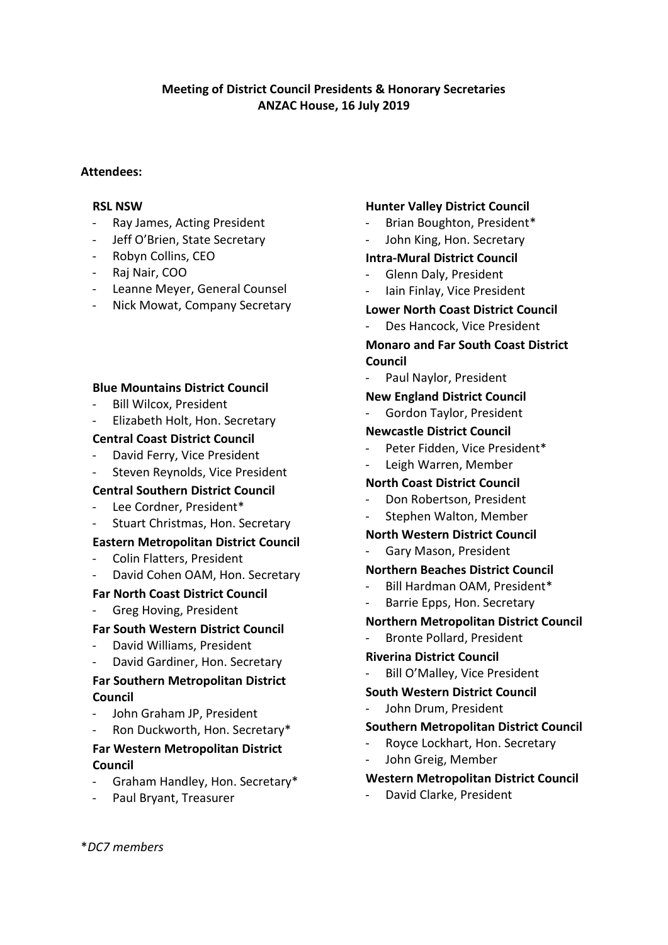# **Meeting of District Council Presidents & Honorary Secretaries ANZAC House, 16 July 2019**

#### **Attendees:**

#### **RSL NSW**

- Ray James, Acting President
- Jeff O'Brien, State Secretary
- Robyn Collins, CEO
- Raj Nair, COO
- Leanne Meyer, General Counsel
- Nick Mowat, Company Secretary

### **Blue Mountains District Council**

- Bill Wilcox, President
- Elizabeth Holt, Hon. Secretary

#### **Central Coast District Council**

- David Ferry, Vice President
- Steven Reynolds, Vice President

### **Central Southern District Council**

- Lee Cordner, President\*
- Stuart Christmas, Hon. Secretary

### **Eastern Metropolitan District Council**

- Colin Flatters, President
- David Cohen OAM, Hon. Secretary

### **Far North Coast District Council**

Greg Hoving, President

### **Far South Western District Council**

- David Williams, President
- David Gardiner, Hon. Secretary

# **Far Southern Metropolitan District Council**

- John Graham JP, President
- Ron Duckworth, Hon. Secretary\*

# **Far Western Metropolitan District Council**

- Graham Handley, Hon. Secretary\*
- Paul Bryant, Treasurer

### **Hunter Valley District Council**

- Brian Boughton, President\*
- John King, Hon. Secretary

### **Intra-Mural District Council**

- Glenn Daly, President
- Iain Finlay, Vice President

### **Lower North Coast District Council**

Des Hancock, Vice President

# **Monaro and Far South Coast District Council**

Paul Naylor, President

#### **New England District Council**

- Gordon Taylor, President

### **Newcastle District Council**

- Peter Fidden, Vice President\*
- Leigh Warren, Member

### **North Coast District Council**

- Don Robertson, President
- Stephen Walton, Member

#### **North Western District Council**

Gary Mason, President

### **Northern Beaches District Council**

- Bill Hardman OAM, President\*
- Barrie Epps, Hon. Secretary

### **Northern Metropolitan District Council**

- Bronte Pollard, President

#### **Riverina District Council**

Bill O'Malley, Vice President

#### **South Western District Council**

John Drum, President

### **Southern Metropolitan District Council**

- Royce Lockhart, Hon. Secretary
- John Greig, Member

#### **Western Metropolitan District Council**

- David Clarke, President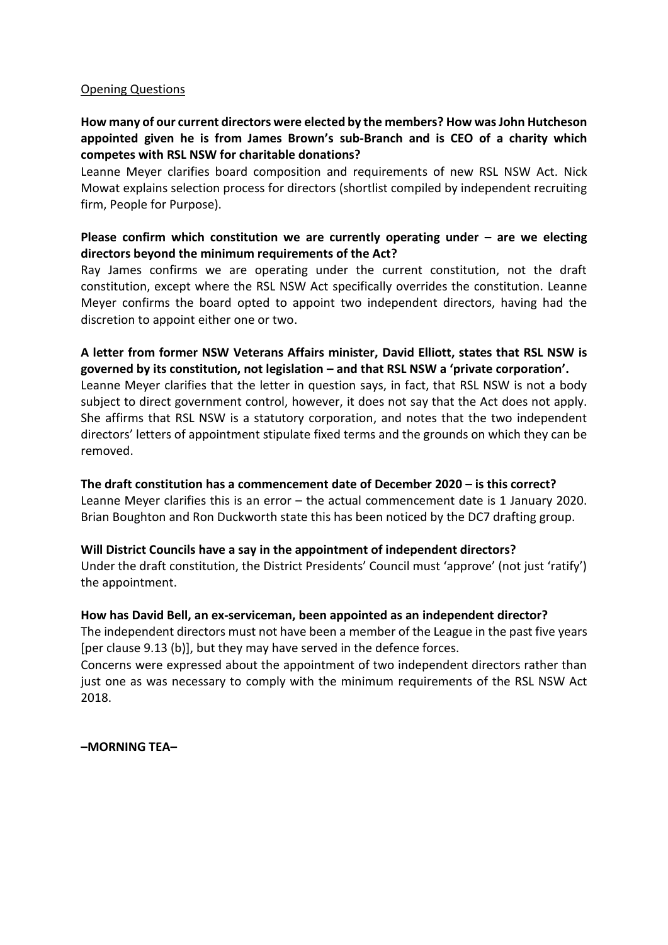#### Opening Questions

# **How many of our current directors were elected by the members? How wasJohn Hutcheson appointed given he is from James Brown's sub-Branch and is CEO of a charity which competes with RSL NSW for charitable donations?**

Leanne Meyer clarifies board composition and requirements of new RSL NSW Act. Nick Mowat explains selection process for directors (shortlist compiled by independent recruiting firm, People for Purpose).

## **Please confirm which constitution we are currently operating under – are we electing directors beyond the minimum requirements of the Act?**

Ray James confirms we are operating under the current constitution, not the draft constitution, except where the RSL NSW Act specifically overrides the constitution. Leanne Meyer confirms the board opted to appoint two independent directors, having had the discretion to appoint either one or two.

### **A letter from former NSW Veterans Affairs minister, David Elliott, states that RSL NSW is governed by its constitution, not legislation – and that RSL NSW a 'private corporation'.**

Leanne Meyer clarifies that the letter in question says, in fact, that RSL NSW is not a body subject to direct government control, however, it does not say that the Act does not apply. She affirms that RSL NSW is a statutory corporation, and notes that the two independent directors' letters of appointment stipulate fixed terms and the grounds on which they can be removed.

### **The draft constitution has a commencement date of December 2020 – is this correct?**

Leanne Meyer clarifies this is an error – the actual commencement date is 1 January 2020. Brian Boughton and Ron Duckworth state this has been noticed by the DC7 drafting group.

### **Will District Councils have a say in the appointment of independent directors?**

Under the draft constitution, the District Presidents' Council must 'approve' (not just 'ratify') the appointment.

### **How has David Bell, an ex-serviceman, been appointed as an independent director?**

The independent directors must not have been a member of the League in the past five years [per clause 9.13 (b)], but they may have served in the defence forces.

Concerns were expressed about the appointment of two independent directors rather than just one as was necessary to comply with the minimum requirements of the RSL NSW Act 2018.

**–MORNING TEA–**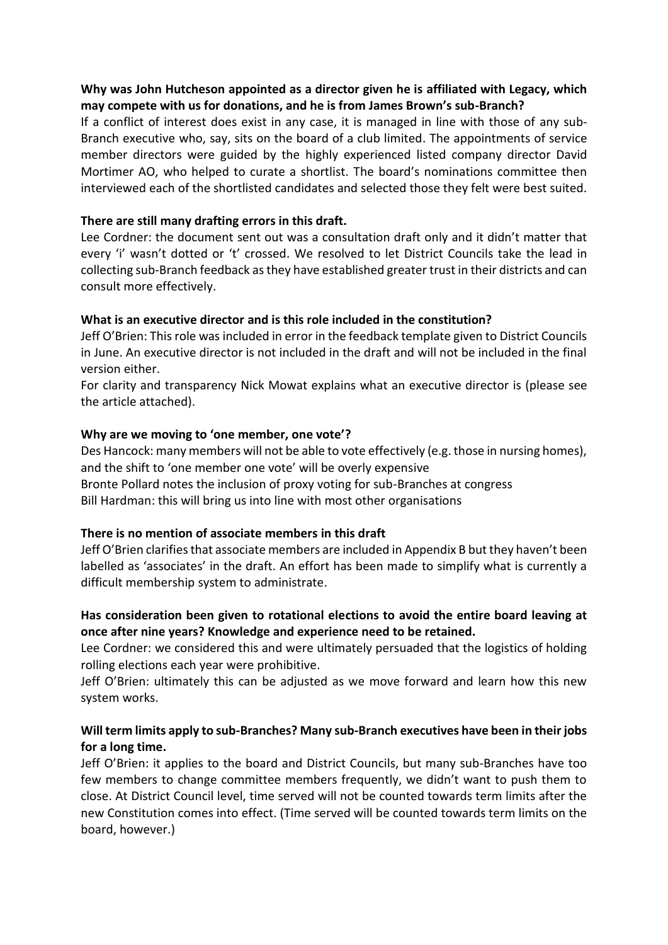# **Why was John Hutcheson appointed as a director given he is affiliated with Legacy, which may compete with us for donations, and he is from James Brown's sub-Branch?**

If a conflict of interest does exist in any case, it is managed in line with those of any sub-Branch executive who, say, sits on the board of a club limited. The appointments of service member directors were guided by the highly experienced listed company director David Mortimer AO, who helped to curate a shortlist. The board's nominations committee then interviewed each of the shortlisted candidates and selected those they felt were best suited.

## **There are still many drafting errors in this draft.**

Lee Cordner: the document sent out was a consultation draft only and it didn't matter that every 'i' wasn't dotted or 't' crossed. We resolved to let District Councils take the lead in collecting sub-Branch feedback as they have established greater trust in their districts and can consult more effectively.

### **What is an executive director and is this role included in the constitution?**

Jeff O'Brien: This role was included in error in the feedback template given to District Councils in June. An executive director is not included in the draft and will not be included in the final version either.

For clarity and transparency Nick Mowat explains what an executive director is (please see the article attached).

### **Why are we moving to 'one member, one vote'?**

Des Hancock: many members will not be able to vote effectively (e.g. those in nursing homes), and the shift to 'one member one vote' will be overly expensive

Bronte Pollard notes the inclusion of proxy voting for sub-Branches at congress

Bill Hardman: this will bring us into line with most other organisations

### **There is no mention of associate members in this draft**

Jeff O'Brien clarifies that associate members are included in Appendix B but they haven't been labelled as 'associates' in the draft. An effort has been made to simplify what is currently a difficult membership system to administrate.

# **Has consideration been given to rotational elections to avoid the entire board leaving at once after nine years? Knowledge and experience need to be retained.**

Lee Cordner: we considered this and were ultimately persuaded that the logistics of holding rolling elections each year were prohibitive.

Jeff O'Brien: ultimately this can be adjusted as we move forward and learn how this new system works.

# **Will term limits apply to sub-Branches? Many sub-Branch executives have been in their jobs for a long time.**

Jeff O'Brien: it applies to the board and District Councils, but many sub-Branches have too few members to change committee members frequently, we didn't want to push them to close. At District Council level, time served will not be counted towards term limits after the new Constitution comes into effect. (Time served will be counted towards term limits on the board, however.)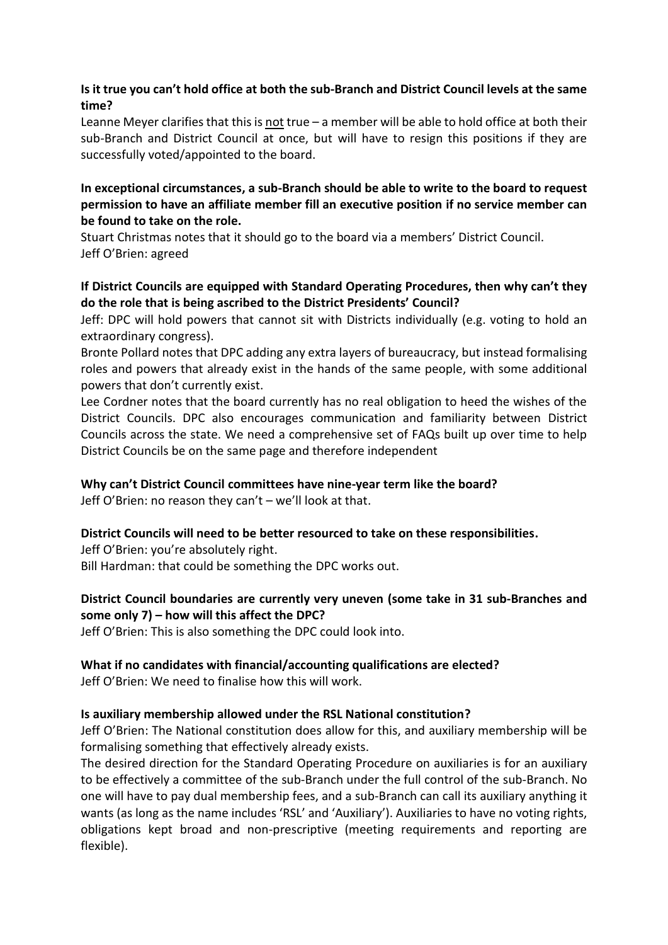# **Is it true you can't hold office at both the sub-Branch and District Council levels at the same time?**

Leanne Meyer clarifies that this is not true – a member will be able to hold office at both their sub-Branch and District Council at once, but will have to resign this positions if they are successfully voted/appointed to the board.

# **In exceptional circumstances, a sub-Branch should be able to write to the board to request permission to have an affiliate member fill an executive position if no service member can be found to take on the role.**

Stuart Christmas notes that it should go to the board via a members' District Council. Jeff O'Brien: agreed

# **If District Councils are equipped with Standard Operating Procedures, then why can't they do the role that is being ascribed to the District Presidents' Council?**

Jeff: DPC will hold powers that cannot sit with Districts individually (e.g. voting to hold an extraordinary congress).

Bronte Pollard notes that DPC adding any extra layers of bureaucracy, but instead formalising roles and powers that already exist in the hands of the same people, with some additional powers that don't currently exist.

Lee Cordner notes that the board currently has no real obligation to heed the wishes of the District Councils. DPC also encourages communication and familiarity between District Councils across the state. We need a comprehensive set of FAQs built up over time to help District Councils be on the same page and therefore independent

# **Why can't District Council committees have nine-year term like the board?**

Jeff O'Brien: no reason they can't – we'll look at that.

# **District Councils will need to be better resourced to take on these responsibilities.**

Jeff O'Brien: you're absolutely right.

Bill Hardman: that could be something the DPC works out.

# **District Council boundaries are currently very uneven (some take in 31 sub-Branches and some only 7) – how will this affect the DPC?**

Jeff O'Brien: This is also something the DPC could look into.

# **What if no candidates with financial/accounting qualifications are elected?**

Jeff O'Brien: We need to finalise how this will work.

# **Is auxiliary membership allowed under the RSL National constitution?**

Jeff O'Brien: The National constitution does allow for this, and auxiliary membership will be formalising something that effectively already exists.

The desired direction for the Standard Operating Procedure on auxiliaries is for an auxiliary to be effectively a committee of the sub-Branch under the full control of the sub-Branch. No one will have to pay dual membership fees, and a sub-Branch can call its auxiliary anything it wants (as long as the name includes 'RSL' and 'Auxiliary'). Auxiliaries to have no voting rights, obligations kept broad and non-prescriptive (meeting requirements and reporting are flexible).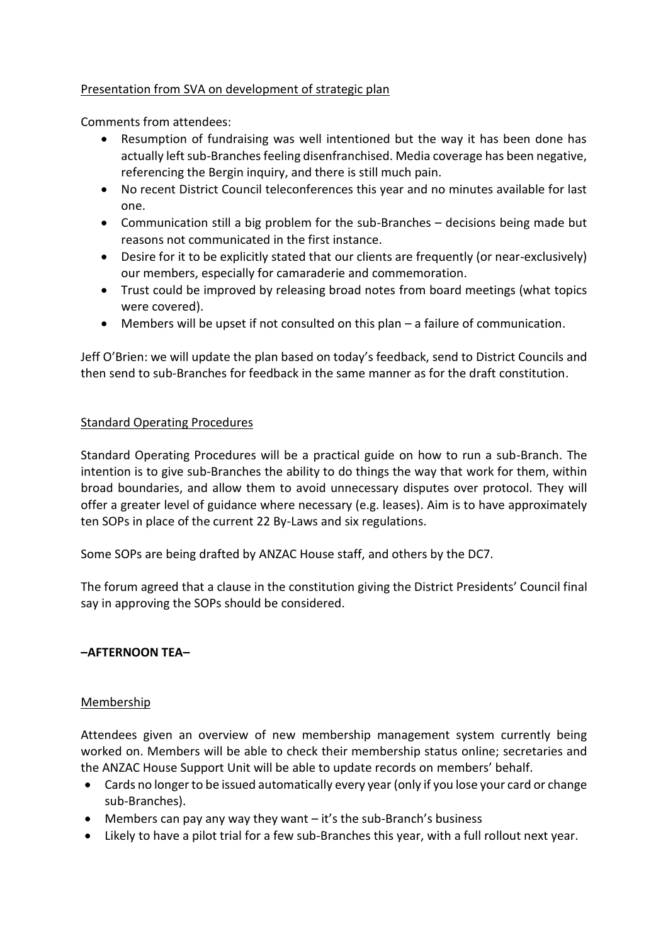# Presentation from SVA on development of strategic plan

Comments from attendees:

- Resumption of fundraising was well intentioned but the way it has been done has actually left sub-Branches feeling disenfranchised. Media coverage has been negative, referencing the Bergin inquiry, and there is still much pain.
- No recent District Council teleconferences this year and no minutes available for last one.
- Communication still a big problem for the sub-Branches decisions being made but reasons not communicated in the first instance.
- Desire for it to be explicitly stated that our clients are frequently (or near-exclusively) our members, especially for camaraderie and commemoration.
- Trust could be improved by releasing broad notes from board meetings (what topics were covered).
- Members will be upset if not consulted on this plan a failure of communication.

Jeff O'Brien: we will update the plan based on today's feedback, send to District Councils and then send to sub-Branches for feedback in the same manner as for the draft constitution.

### Standard Operating Procedures

Standard Operating Procedures will be a practical guide on how to run a sub-Branch. The intention is to give sub-Branches the ability to do things the way that work for them, within broad boundaries, and allow them to avoid unnecessary disputes over protocol. They will offer a greater level of guidance where necessary (e.g. leases). Aim is to have approximately ten SOPs in place of the current 22 By-Laws and six regulations.

Some SOPs are being drafted by ANZAC House staff, and others by the DC7.

The forum agreed that a clause in the constitution giving the District Presidents' Council final say in approving the SOPs should be considered.

# **–AFTERNOON TEA–**

### Membership

Attendees given an overview of new membership management system currently being worked on. Members will be able to check their membership status online; secretaries and the ANZAC House Support Unit will be able to update records on members' behalf.

- Cards no longer to be issued automatically every year (only if you lose your card or change sub-Branches).
- Members can pay any way they want it's the sub-Branch's business
- Likely to have a pilot trial for a few sub-Branches this year, with a full rollout next year.